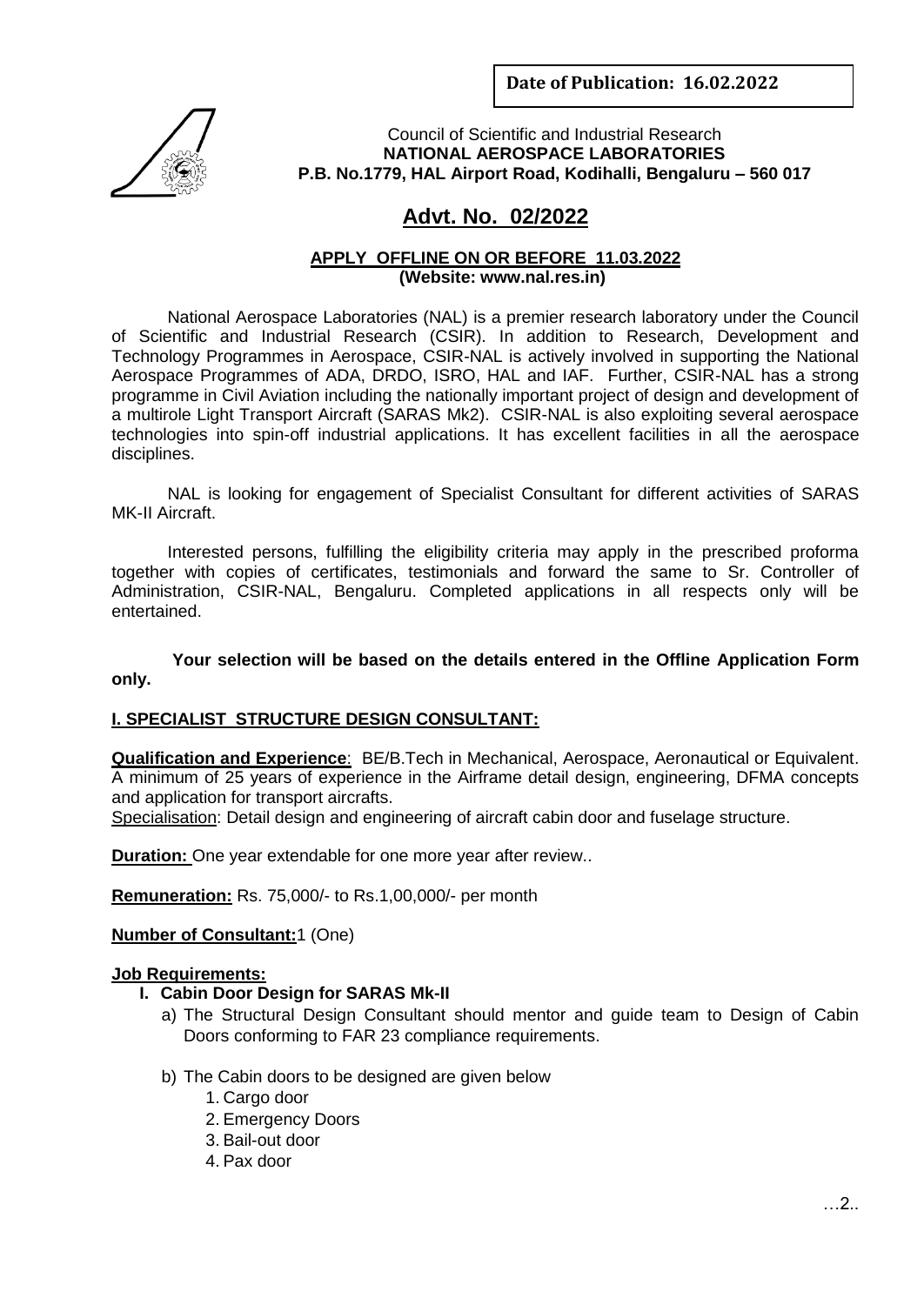**Date of Publication: 16.02.2022**



Council of Scientific and Industrial Research **NATIONAL AEROSPACE LABORATORIES P.B. No.1779, HAL Airport Road, Kodihalli, Bengaluru – 560 017**

# **Advt. No. 02/2022**

#### **APPLY OFFLINE ON OR BEFORE 11.03.2022 (Website: www.nal.res.in)**

National Aerospace Laboratories (NAL) is a premier research laboratory under the Council of Scientific and Industrial Research (CSIR). In addition to Research, Development and Technology Programmes in Aerospace, CSIR-NAL is actively involved in supporting the National Aerospace Programmes of ADA, DRDO, ISRO, HAL and IAF. Further, CSIR-NAL has a strong programme in Civil Aviation including the nationally important project of design and development of a multirole Light Transport Aircraft (SARAS Mk2). CSIR-NAL is also exploiting several aerospace technologies into spin-off industrial applications. It has excellent facilities in all the aerospace disciplines.

NAL is looking for engagement of Specialist Consultant for different activities of SARAS MK-II Aircraft.

Interested persons, fulfilling the eligibility criteria may apply in the prescribed proforma together with copies of certificates, testimonials and forward the same to Sr. Controller of Administration, CSIR-NAL, Bengaluru. Completed applications in all respects only will be entertained.

**Your selection will be based on the details entered in the Offline Application Form only.**

#### **I. SPECIALIST STRUCTURE DESIGN CONSULTANT:**

**Qualification and Experience**: BE/B.Tech in Mechanical, Aerospace, Aeronautical or Equivalent. A minimum of 25 years of experience in the Airframe detail design, engineering, DFMA concepts and application for transport aircrafts.

Specialisation: Detail design and engineering of aircraft cabin door and fuselage structure.

**Duration:** One year extendable for one more year after review..

**Remuneration:** Rs. 75,000/- to Rs.1,00,000/- per month

**Number of Consultant:**1 (One)

#### **Job Requirements:**

- **I. Cabin Door Design for SARAS Mk-II**
	- a) The Structural Design Consultant should mentor and guide team to Design of Cabin Doors conforming to FAR 23 compliance requirements.
	- b) The Cabin doors to be designed are given below
		- 1. Cargo door
		- 2. Emergency Doors
		- 3. Bail-out door
		- 4. Pax door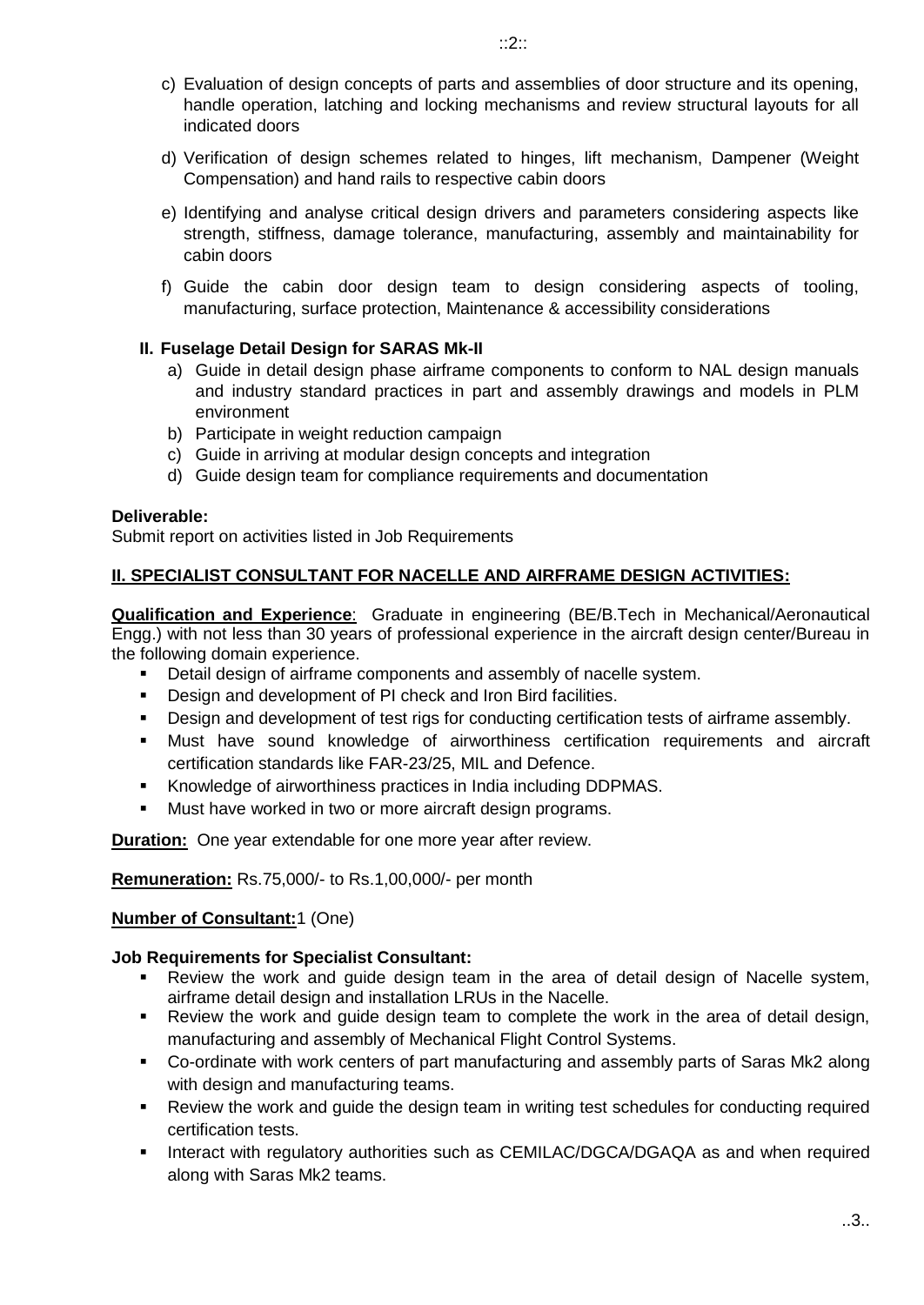- c) Evaluation of design concepts of parts and assemblies of door structure and its opening, handle operation, latching and locking mechanisms and review structural layouts for all indicated doors
- d) Verification of design schemes related to hinges, lift mechanism, Dampener (Weight Compensation) and hand rails to respective cabin doors
- e) Identifying and analyse critical design drivers and parameters considering aspects like strength, stiffness, damage tolerance, manufacturing, assembly and maintainability for cabin doors
- f) Guide the cabin door design team to design considering aspects of tooling, manufacturing, surface protection, Maintenance & accessibility considerations

## **II. Fuselage Detail Design for SARAS Mk-II**

- a) Guide in detail design phase airframe components to conform to NAL design manuals and industry standard practices in part and assembly drawings and models in PLM environment
- b) Participate in weight reduction campaign
- c) Guide in arriving at modular design concepts and integration
- d) Guide design team for compliance requirements and documentation

#### **Deliverable:**

Submit report on activities listed in Job Requirements

## **II. SPECIALIST CONSULTANT FOR NACELLE AND AIRFRAME DESIGN ACTIVITIES:**

**Qualification and Experience**: Graduate in engineering (BE/B.Tech in Mechanical/Aeronautical Engg.) with not less than 30 years of professional experience in the aircraft design center/Bureau in the following domain experience.

- **•** Detail design of airframe components and assembly of nacelle system.
- Design and development of PI check and Iron Bird facilities.
- **Design and development of test rigs for conducting certification tests of airframe assembly.**
- Must have sound knowledge of airworthiness certification requirements and aircraft certification standards like FAR-23/25, MIL and Defence.
- Knowledge of airworthiness practices in India including DDPMAS.
- **Must have worked in two or more aircraft design programs.**

**Duration:** One year extendable for one more year after review.

**Remuneration:** Rs.75,000/- to Rs.1,00,000/- per month

#### **Number of Consultant:**1 (One)

#### **Job Requirements for Specialist Consultant:**

- Review the work and guide design team in the area of detail design of Nacelle system, airframe detail design and installation LRUs in the Nacelle.
- Review the work and guide design team to complete the work in the area of detail design, manufacturing and assembly of Mechanical Flight Control Systems.
- Co-ordinate with work centers of part manufacturing and assembly parts of Saras Mk2 along with design and manufacturing teams.
- Review the work and guide the design team in writing test schedules for conducting required certification tests.
- **Interact with regulatory authorities such as CEMILAC/DGCA/DGAQA as and when required** along with Saras Mk2 teams.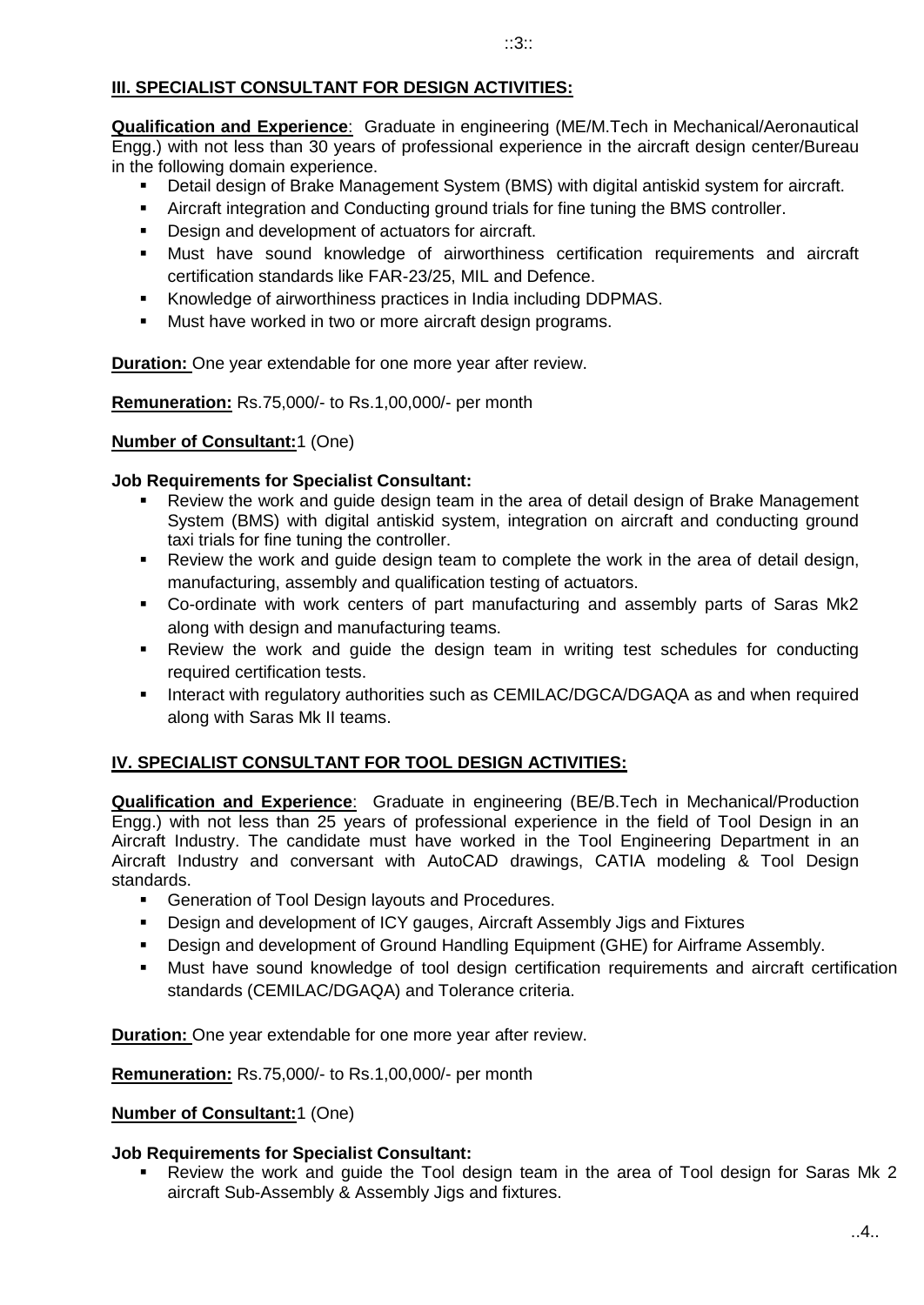## **III. SPECIALIST CONSULTANT FOR DESIGN ACTIVITIES:**

**Qualification and Experience**: Graduate in engineering (ME/M.Tech in Mechanical/Aeronautical Engg.) with not less than 30 years of professional experience in the aircraft design center/Bureau in the following domain experience.

- Detail design of Brake Management System (BMS) with digital antiskid system for aircraft.
- Aircraft integration and Conducting ground trials for fine tuning the BMS controller.
- Design and development of actuators for aircraft.
- Must have sound knowledge of airworthiness certification requirements and aircraft certification standards like FAR-23/25, MIL and Defence.
- Knowledge of airworthiness practices in India including DDPMAS.
- **Must have worked in two or more aircraft design programs.**

**Duration:** One year extendable for one more year after review.

**Remuneration:** Rs.75,000/- to Rs.1,00,000/- per month

#### **Number of Consultant:**1 (One)

#### **Job Requirements for Specialist Consultant:**

- Review the work and guide design team in the area of detail design of Brake Management System (BMS) with digital antiskid system, integration on aircraft and conducting ground taxi trials for fine tuning the controller.
- Review the work and guide design team to complete the work in the area of detail design, manufacturing, assembly and qualification testing of actuators.
- Co-ordinate with work centers of part manufacturing and assembly parts of Saras Mk2 along with design and manufacturing teams.
- Review the work and guide the design team in writing test schedules for conducting required certification tests.
- **Interact with regulatory authorities such as CEMILAC/DGCA/DGAQA as and when required** along with Saras Mk II teams.

#### **IV. SPECIALIST CONSULTANT FOR TOOL DESIGN ACTIVITIES:**

**Qualification and Experience**: Graduate in engineering (BE/B.Tech in Mechanical/Production Engg.) with not less than 25 years of professional experience in the field of Tool Design in an Aircraft Industry. The candidate must have worked in the Tool Engineering Department in an Aircraft Industry and conversant with AutoCAD drawings, CATIA modeling & Tool Design standards.

- **Generation of Tool Design layouts and Procedures.**
- Design and development of ICY gauges, Aircraft Assembly Jigs and Fixtures
- Design and development of Ground Handling Equipment (GHE) for Airframe Assembly.
- Must have sound knowledge of tool design certification requirements and aircraft certification standards (CEMILAC/DGAQA) and Tolerance criteria.

**Duration:** One year extendable for one more year after review.

**Remuneration:** Rs.75,000/- to Rs.1,00,000/- per month

#### **Number of Consultant:**1 (One)

#### **Job Requirements for Specialist Consultant:**

 Review the work and guide the Tool design team in the area of Tool design for Saras Mk 2 aircraft Sub-Assembly & Assembly Jigs and fixtures.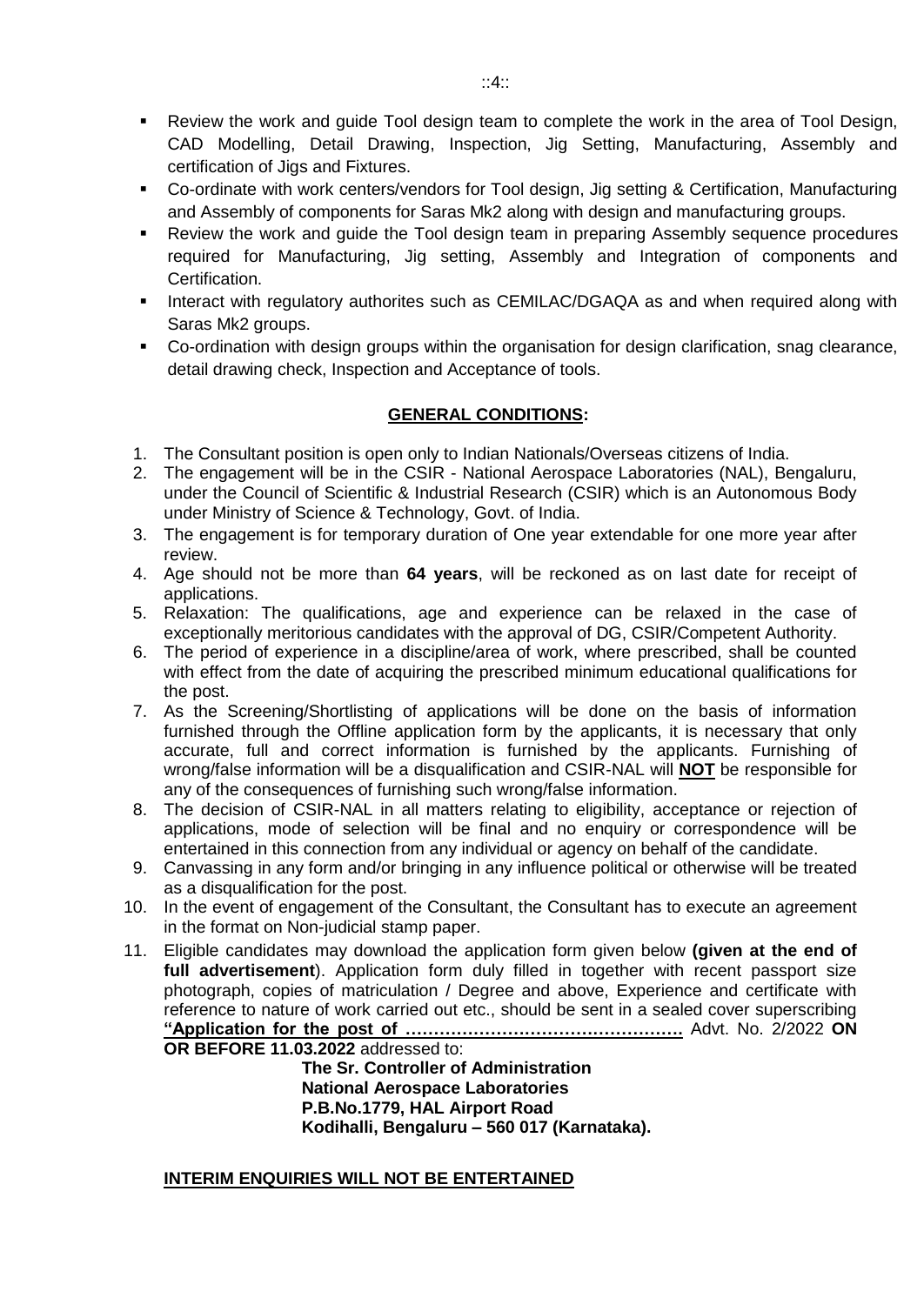- Review the work and guide Tool design team to complete the work in the area of Tool Design, CAD Modelling, Detail Drawing, Inspection, Jig Setting, Manufacturing, Assembly and certification of Jigs and Fixtures.
- Co-ordinate with work centers/vendors for Tool design, Jig setting & Certification, Manufacturing and Assembly of components for Saras Mk2 along with design and manufacturing groups.
- Review the work and guide the Tool design team in preparing Assembly sequence procedures required for Manufacturing, Jig setting, Assembly and Integration of components and Certification.
- **Interact with regulatory authorites such as CEMILAC/DGAQA as and when required along with** Saras Mk2 groups.
- Co-ordination with design groups within the organisation for design clarification, snag clearance, detail drawing check, Inspection and Acceptance of tools.

## **GENERAL CONDITIONS:**

- 1. The Consultant position is open only to Indian Nationals/Overseas citizens of India.
- 2. The engagement will be in the CSIR National Aerospace Laboratories (NAL), Bengaluru, under the Council of Scientific & Industrial Research (CSIR) which is an Autonomous Body under Ministry of Science & Technology, Govt. of India.
- 3. The engagement is for temporary duration of One year extendable for one more year after review.
- 4. Age should not be more than **64 years**, will be reckoned as on last date for receipt of applications.
- 5. Relaxation: The qualifications, age and experience can be relaxed in the case of exceptionally meritorious candidates with the approval of DG, CSIR/Competent Authority.
- 6. The period of experience in a discipline/area of work, where prescribed, shall be counted with effect from the date of acquiring the prescribed minimum educational qualifications for the post.
- 7. As the Screening/Shortlisting of applications will be done on the basis of information furnished through the Offline application form by the applicants, it is necessary that only accurate, full and correct information is furnished by the applicants. Furnishing of wrong/false information will be a disqualification and CSIR-NAL will **NOT** be responsible for any of the consequences of furnishing such wrong/false information.
- 8. The decision of CSIR-NAL in all matters relating to eligibility, acceptance or rejection of applications, mode of selection will be final and no enquiry or correspondence will be entertained in this connection from any individual or agency on behalf of the candidate.
- 9. Canvassing in any form and/or bringing in any influence political or otherwise will be treated as a disqualification for the post.
- 10. In the event of engagement of the Consultant, the Consultant has to execute an agreement in the format on Non-judicial stamp paper.
- 11. Eligible candidates may download the application form given below **(given at the end of full advertisement**). Application form duly filled in together with recent passport size photograph, copies of matriculation / Degree and above, Experience and certificate with reference to nature of work carried out etc., should be sent in a sealed cover superscribing **"Application for the post of ………………………………………….** Advt. No. 2/2022 **ON OR BEFORE 11.03.2022** addressed to:

 **The Sr. Controller of Administration National Aerospace Laboratories P.B.No.1779, HAL Airport Road Kodihalli, Bengaluru – 560 017 (Karnataka).** 

#### **INTERIM ENQUIRIES WILL NOT BE ENTERTAINED**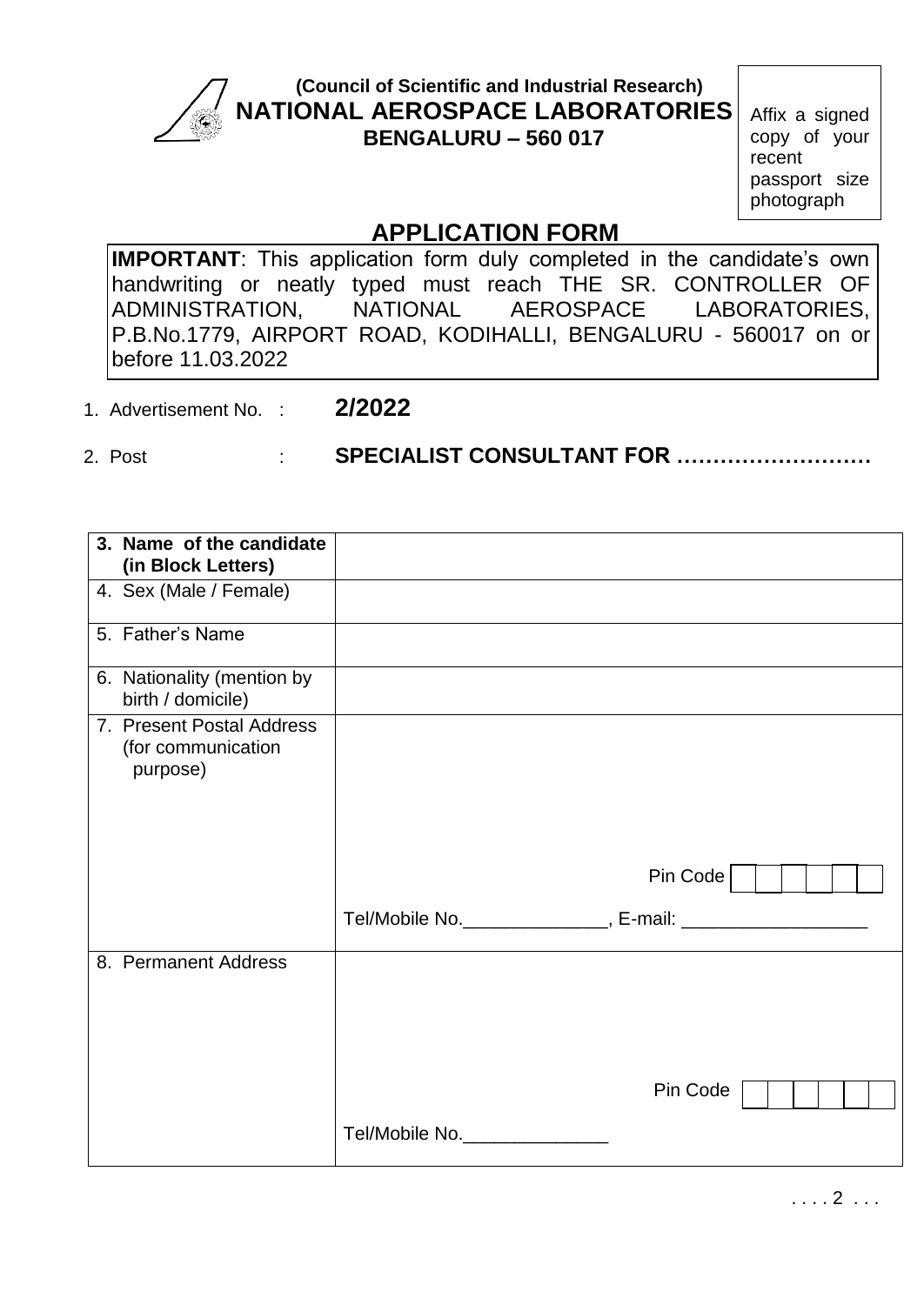

# **(Council of Scientific and Industrial Research) NATIONAL AEROSPACE LABORATORIES BENGALURU – 560 017**

Affix a signed copy of your recent passport size photograph

# **APPLICATION FORM**

**IMPORTANT**: This application form duly completed in the candidate's own handwriting or neatly typed must reach THE SR. CONTROLLER OF<br>ADMINISTRATION, NATIONAL AEROSPACE LABORATORIES, ADMINISTRATION, NATIONAL AEROSPACE LABORATORIES, P.B.No.1779, AIRPORT ROAD, KODIHALLI, BENGALURU - 560017 on or before 11.03.2022

1. Advertisement No. : **2/2022**

2. Post : **SPECIALIST CONSULTANT FOR ………………………**

| 3. Name of the candidate<br>(in Block Letters)              |                |          |
|-------------------------------------------------------------|----------------|----------|
| 4. Sex (Male / Female)                                      |                |          |
| 5. Father's Name                                            |                |          |
| 6. Nationality (mention by<br>birth / domicile)             |                |          |
| 7. Present Postal Address<br>(for communication<br>purpose) |                |          |
|                                                             |                | Pin Code |
|                                                             |                |          |
| 8. Permanent Address                                        |                |          |
|                                                             |                | Pin Code |
|                                                             | Tel/Mobile No. |          |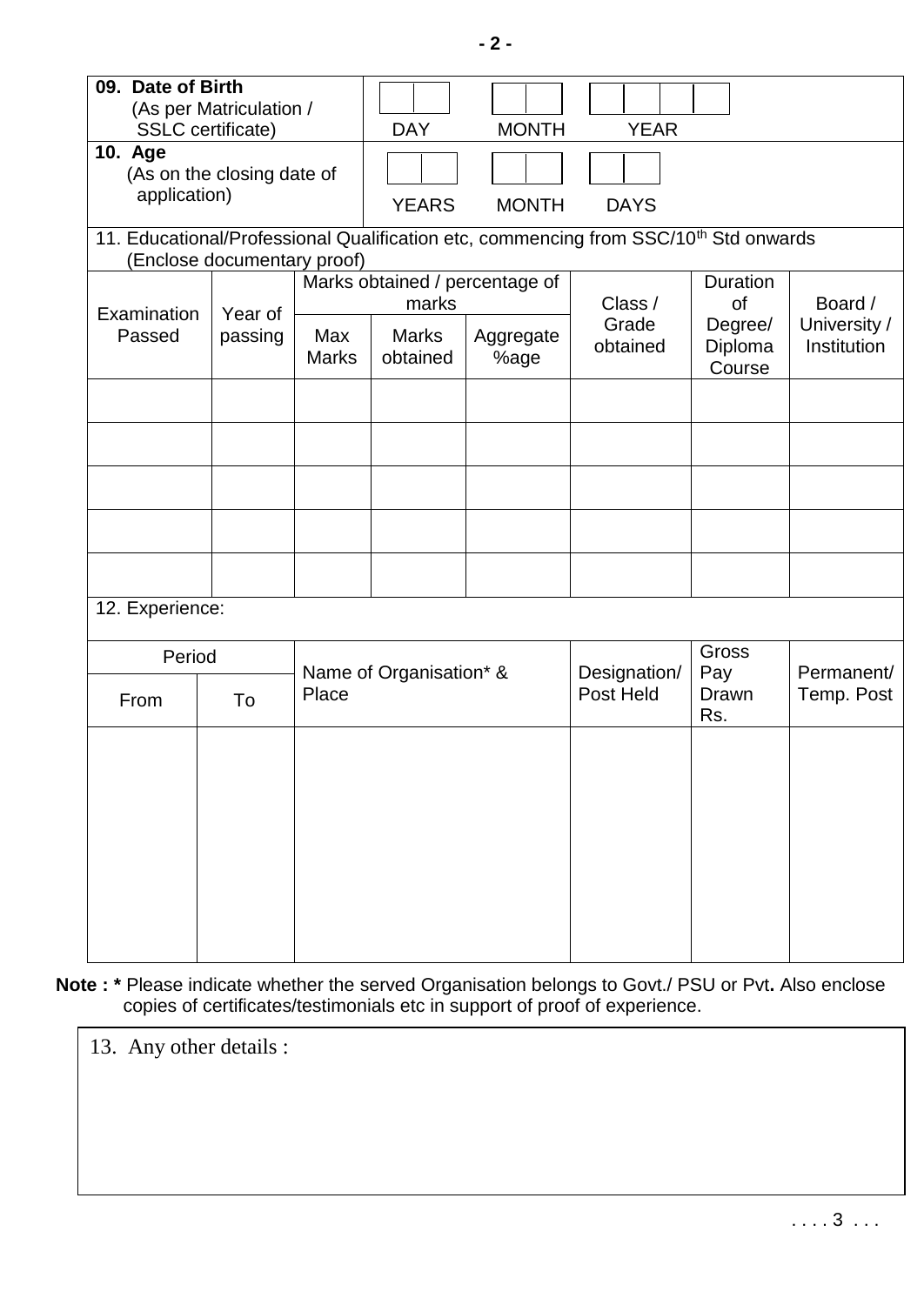| 09. Date of Birth<br>10. Age<br>application) | (As per Matriculation /<br><b>SSLC</b> certificate)<br>(As on the closing date of                                               |                                         | <b>DAY</b><br><b>YEARS</b> | <b>MONTH</b><br><b>MONTH</b> | <b>YEAR</b><br><b>DAYS</b> |                              |                             |
|----------------------------------------------|---------------------------------------------------------------------------------------------------------------------------------|-----------------------------------------|----------------------------|------------------------------|----------------------------|------------------------------|-----------------------------|
|                                              | 11. Educational/Professional Qualification etc, commencing from SSC/10 <sup>th</sup> Std onwards<br>(Enclose documentary proof) |                                         |                            |                              |                            |                              |                             |
| Examination<br>Passed                        | Year of<br>passing                                                                                                              | Marks obtained / percentage of<br>marks |                            | Class /                      | <b>Duration</b><br>of      | Board /                      |                             |
|                                              |                                                                                                                                 | Max<br><b>Marks</b>                     | <b>Marks</b><br>obtained   | Aggregate<br>%age            | Grade<br>obtained          | Degree/<br>Diploma<br>Course | University /<br>Institution |
|                                              |                                                                                                                                 |                                         |                            |                              |                            |                              |                             |
|                                              |                                                                                                                                 |                                         |                            |                              |                            |                              |                             |
|                                              |                                                                                                                                 |                                         |                            |                              |                            |                              |                             |
|                                              |                                                                                                                                 |                                         |                            |                              |                            |                              |                             |
| 12. Experience:                              |                                                                                                                                 |                                         |                            |                              |                            |                              |                             |
| Period<br>Place<br>To<br>From                |                                                                                                                                 |                                         | Name of Organisation* &    |                              | Designation/<br>Post Held  | Gross<br>Pay                 | Permanent/                  |
|                                              |                                                                                                                                 |                                         |                            |                              |                            | Drawn<br>Rs.                 | Temp. Post                  |
|                                              |                                                                                                                                 |                                         |                            |                              |                            |                              |                             |
|                                              |                                                                                                                                 |                                         |                            |                              |                            |                              |                             |
|                                              |                                                                                                                                 |                                         |                            |                              |                            |                              |                             |
|                                              |                                                                                                                                 |                                         |                            |                              |                            |                              |                             |
|                                              |                                                                                                                                 |                                         |                            |                              |                            |                              |                             |

**Note : \*** Please indicate whether the served Organisation belongs to Govt./ PSU or Pvt**.** Also enclose copies of certificates/testimonials etc in support of proof of experience.

13. Any other details :